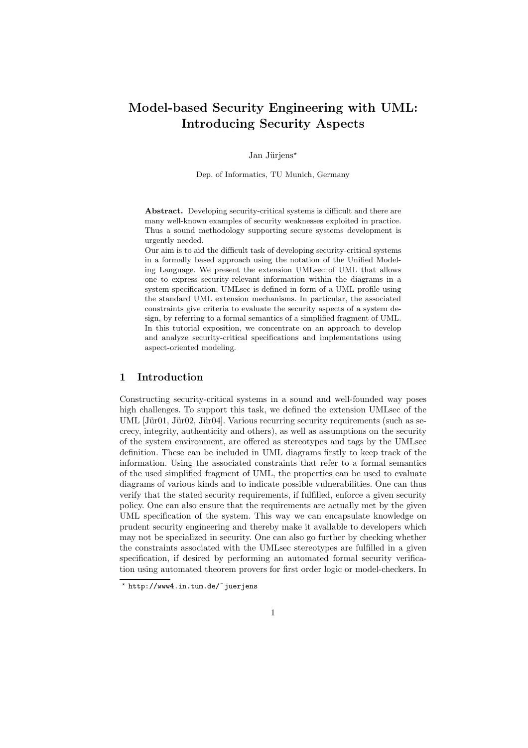# Model-based Security Engineering with UML: Introducing Security Aspects

Jan Jürjens<sup>\*</sup>

Dep. of Informatics, TU Munich, Germany

Abstract. Developing security-critical systems is difficult and there are many well-known examples of security weaknesses exploited in practice. Thus a sound methodology supporting secure systems development is urgently needed.

Our aim is to aid the difficult task of developing security-critical systems in a formally based approach using the notation of the Unified Modeling Language. We present the extension UMLsec of UML that allows one to express security-relevant information within the diagrams in a system specification. UMLsec is defined in form of a UML profile using the standard UML extension mechanisms. In particular, the associated constraints give criteria to evaluate the security aspects of a system design, by referring to a formal semantics of a simplified fragment of UML. In this tutorial exposition, we concentrate on an approach to develop and analyze security-critical specifications and implementations using aspect-oriented modeling.

#### 1 Introduction

Constructing security-critical systems in a sound and well-founded way poses high challenges. To support this task, we defined the extension UMLsec of the UML  $|J\text{ür01}, J\text{ür02}, J\text{ür04}|$ . Various recurring security requirements (such as secrecy, integrity, authenticity and others), as well as assumptions on the security of the system environment, are offered as stereotypes and tags by the UMLsec definition. These can be included in UML diagrams firstly to keep track of the information. Using the associated constraints that refer to a formal semantics of the used simplified fragment of UML, the properties can be used to evaluate diagrams of various kinds and to indicate possible vulnerabilities. One can thus verify that the stated security requirements, if fulfilled, enforce a given security policy. One can also ensure that the requirements are actually met by the given UML specification of the system. This way we can encapsulate knowledge on prudent security engineering and thereby make it available to developers which may not be specialized in security. One can also go further by checking whether the constraints associated with the UMLsec stereotypes are fulfilled in a given specification, if desired by performing an automated formal security verification using automated theorem provers for first order logic or model-checkers. In

<sup>⋆</sup> http://www4.in.tum.de/˜juerjens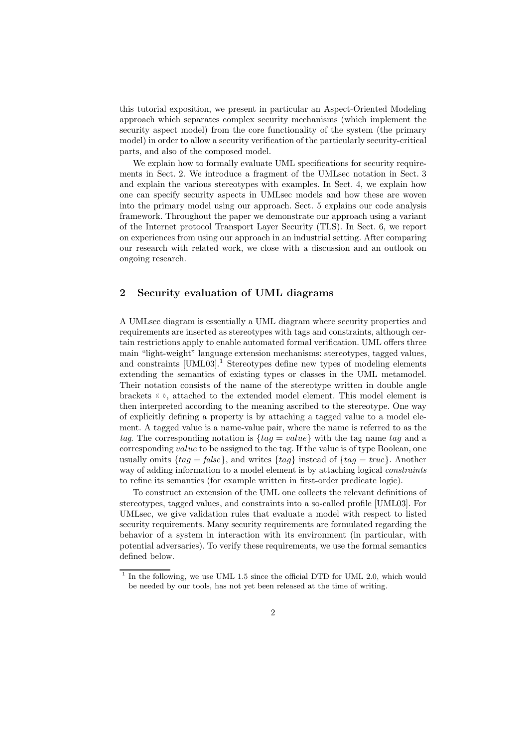this tutorial exposition, we present in particular an Aspect-Oriented Modeling approach which separates complex security mechanisms (which implement the security aspect model) from the core functionality of the system (the primary model) in order to allow a security verification of the particularly security-critical parts, and also of the composed model.

We explain how to formally evaluate UML specifications for security requirements in Sect. 2. We introduce a fragment of the UMLsec notation in Sect. 3 and explain the various stereotypes with examples. In Sect. 4, we explain how one can specify security aspects in UMLsec models and how these are woven into the primary model using our approach. Sect. 5 explains our code analysis framework. Throughout the paper we demonstrate our approach using a variant of the Internet protocol Transport Layer Security (TLS). In Sect. 6, we report on experiences from using our approach in an industrial setting. After comparing our research with related work, we close with a discussion and an outlook on ongoing research.

#### 2 Security evaluation of UML diagrams

A UMLsec diagram is essentially a UML diagram where security properties and requirements are inserted as stereotypes with tags and constraints, although certain restrictions apply to enable automated formal verification. UML offers three main "light-weight" language extension mechanisms: stereotypes, tagged values, and constraints  $[UML03]$ .<sup>1</sup> Stereotypes define new types of modeling elements extending the semantics of existing types or classes in the UML metamodel. Their notation consists of the name of the stereotype written in double angle brackets  $\langle \rangle$ , attached to the extended model element. This model element is then interpreted according to the meaning ascribed to the stereotype. One way of explicitly defining a property is by attaching a tagged value to a model element. A tagged value is a name-value pair, where the name is referred to as the tag. The corresponding notation is  $\{tag = value\}$  with the tag name tag and a corresponding value to be assigned to the tag. If the value is of type Boolean, one usually omits  $\{tag = false\}$ , and writes  $\{tag\}$  instead of  $\{tag = true\}$ . Another way of adding information to a model element is by attaching logical *constraints* to refine its semantics (for example written in first-order predicate logic).

To construct an extension of the UML one collects the relevant definitions of stereotypes, tagged values, and constraints into a so-called profile [UML03]. For UMLsec, we give validation rules that evaluate a model with respect to listed security requirements. Many security requirements are formulated regarding the behavior of a system in interaction with its environment (in particular, with potential adversaries). To verify these requirements, we use the formal semantics defined below.

<sup>&</sup>lt;sup>1</sup> In the following, we use UML 1.5 since the official DTD for UML 2.0, which would be needed by our tools, has not yet been released at the time of writing.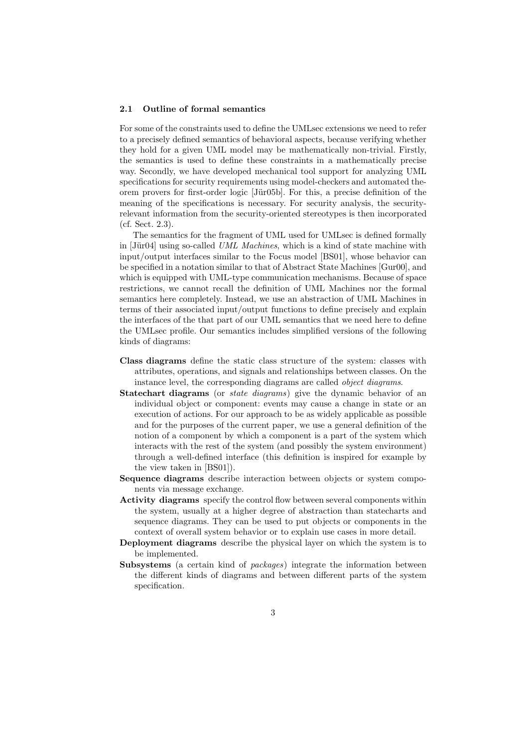#### 2.1 Outline of formal semantics

For some of the constraints used to define the UMLsec extensions we need to refer to a precisely defined semantics of behavioral aspects, because verifying whether they hold for a given UML model may be mathematically non-trivial. Firstly, the semantics is used to define these constraints in a mathematically precise way. Secondly, we have developed mechanical tool support for analyzing UML specifications for security requirements using model-checkers and automated theorem provers for first-order logic [Jür05b]. For this, a precise definition of the meaning of the specifications is necessary. For security analysis, the securityrelevant information from the security-oriented stereotypes is then incorporated (cf. Sect. 2.3).

The semantics for the fragment of UML used for UMLsec is defined formally in  $\left[\text{Jür04}\right]$  using so-called UML Machines, which is a kind of state machine with input/output interfaces similar to the Focus model [BS01], whose behavior can be specified in a notation similar to that of Abstract State Machines [Gur00], and which is equipped with UML-type communication mechanisms. Because of space restrictions, we cannot recall the definition of UML Machines nor the formal semantics here completely. Instead, we use an abstraction of UML Machines in terms of their associated input/output functions to define precisely and explain the interfaces of the that part of our UML semantics that we need here to define the UMLsec profile. Our semantics includes simplified versions of the following kinds of diagrams:

- Class diagrams define the static class structure of the system: classes with attributes, operations, and signals and relationships between classes. On the instance level, the corresponding diagrams are called object diagrams.
- Statechart diagrams (or state diagrams) give the dynamic behavior of an individual object or component: events may cause a change in state or an execution of actions. For our approach to be as widely applicable as possible and for the purposes of the current paper, we use a general definition of the notion of a component by which a component is a part of the system which interacts with the rest of the system (and possibly the system environment) through a well-defined interface (this definition is inspired for example by the view taken in [BS01]).
- Sequence diagrams describe interaction between objects or system components via message exchange.
- Activity diagrams specify the control flow between several components within the system, usually at a higher degree of abstraction than statecharts and sequence diagrams. They can be used to put objects or components in the context of overall system behavior or to explain use cases in more detail.
- Deployment diagrams describe the physical layer on which the system is to be implemented.
- Subsystems (a certain kind of packages) integrate the information between the different kinds of diagrams and between different parts of the system specification.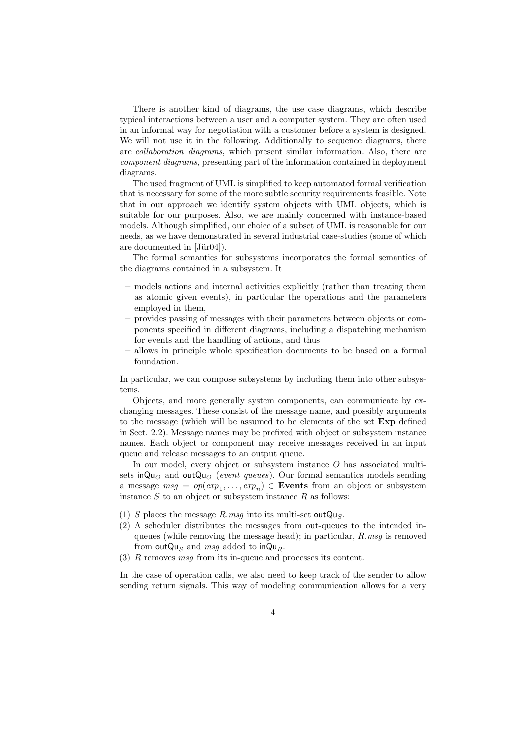There is another kind of diagrams, the use case diagrams, which describe typical interactions between a user and a computer system. They are often used in an informal way for negotiation with a customer before a system is designed. We will not use it in the following. Additionally to sequence diagrams, there are collaboration diagrams, which present similar information. Also, there are component diagrams, presenting part of the information contained in deployment diagrams.

The used fragment of UML is simplified to keep automated formal verification that is necessary for some of the more subtle security requirements feasible. Note that in our approach we identify system objects with UML objects, which is suitable for our purposes. Also, we are mainly concerned with instance-based models. Although simplified, our choice of a subset of UML is reasonable for our needs, as we have demonstrated in several industrial case-studies (some of which are documented in  $[J\ddot{u}r04]$ ).

The formal semantics for subsystems incorporates the formal semantics of the diagrams contained in a subsystem. It

- models actions and internal activities explicitly (rather than treating them as atomic given events), in particular the operations and the parameters employed in them,
- provides passing of messages with their parameters between objects or components specified in different diagrams, including a dispatching mechanism for events and the handling of actions, and thus
- allows in principle whole specification documents to be based on a formal foundation.

In particular, we can compose subsystems by including them into other subsystems.

Objects, and more generally system components, can communicate by exchanging messages. These consist of the message name, and possibly arguments to the message (which will be assumed to be elements of the set Exp defined in Sect. 2.2). Message names may be prefixed with object or subsystem instance names. Each object or component may receive messages received in an input queue and release messages to an output queue.

In our model, every object or subsystem instance O has associated multisets in $\mathsf{Qu}_O$  and out $\mathsf{Qu}_O$  (event queues). Our formal semantics models sending a message  $msg = op(exp_1, ..., exp_n) \in$  Events from an object or subsystem instance  $S$  to an object or subsystem instance  $R$  as follows:

- (1) S places the message R msg into its multi-set out Qu<sub>S</sub>.
- (2) A scheduler distributes the messages from out-queues to the intended inqueues (while removing the message head); in particular,  $R \, msg$  is removed from outQu<sub>S</sub> and msg added to inQu<sub>R</sub>.
- (3) R removes msg from its in-queue and processes its content.

In the case of operation calls, we also need to keep track of the sender to allow sending return signals. This way of modeling communication allows for a very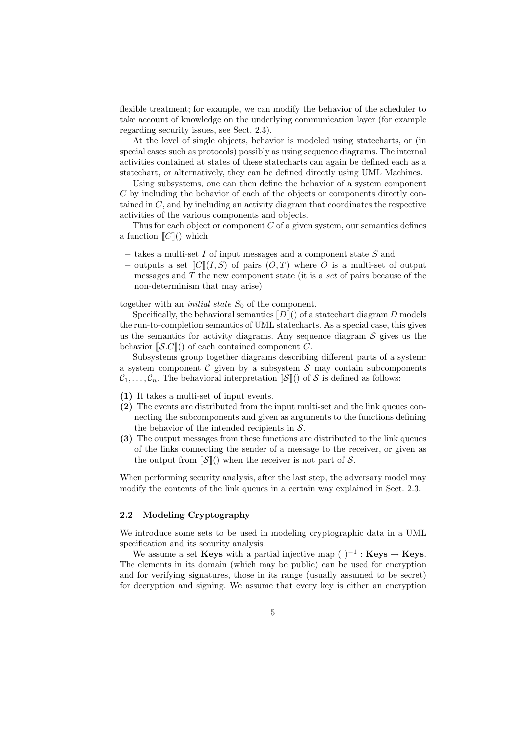flexible treatment; for example, we can modify the behavior of the scheduler to take account of knowledge on the underlying communication layer (for example regarding security issues, see Sect. 2.3).

At the level of single objects, behavior is modeled using statecharts, or (in special cases such as protocols) possibly as using sequence diagrams. The internal activities contained at states of these statecharts can again be defined each as a statechart, or alternatively, they can be defined directly using UML Machines.

Using subsystems, one can then define the behavior of a system component C by including the behavior of each of the objects or components directly contained in  $C$ , and by including an activity diagram that coordinates the respective activities of the various components and objects.

Thus for each object or component  $C$  of a given system, our semantics defines a function  $\llbracket C \rrbracket$  () which

- $-$  takes a multi-set I of input messages and a component state S and
- outputs a set  $\lbrack\!\lbrack C\rbrack\!\rbrack (I, S)$  of pairs  $(O, T)$  where O is a multi-set of output messages and  $T$  the new component state (it is a set of pairs because of the non-determinism that may arise)

together with an *initial state*  $S_0$  of the component.

Specifically, the behavioral semantics  $[D](\phi)$  of a statechart diagram D models the run-to-completion semantics of UML statecharts. As a special case, this gives us the semantics for activity diagrams. Any sequence diagram  $S$  gives us the behavior  $\mathcal{S}.C\mathcal{U}$  of each contained component C.

Subsystems group together diagrams describing different parts of a system: a system component  $\mathcal C$  given by a subsystem  $\mathcal S$  may contain subcomponents  $\mathcal{C}_1, \ldots, \mathcal{C}_n$ . The behavioral interpretation  $\llbracket \mathcal{S} \rrbracket$  of S is defined as follows:

- (1) It takes a multi-set of input events.
- (2) The events are distributed from the input multi-set and the link queues connecting the subcomponents and given as arguments to the functions defining the behavior of the intended recipients in  $S$ .
- (3) The output messages from these functions are distributed to the link queues of the links connecting the sender of a message to the receiver, or given as the output from  $\mathcal{S}(\mathcal{S})$  when the receiver is not part of S.

When performing security analysis, after the last step, the adversary model may modify the contents of the link queues in a certain way explained in Sect. 2.3.

#### 2.2 Modeling Cryptography

We introduce some sets to be used in modeling cryptographic data in a UML specification and its security analysis.

We assume a set Keys with a partial injective map ( $)$ <sup>-1</sup> : Keys → Keys. The elements in its domain (which may be public) can be used for encryption and for verifying signatures, those in its range (usually assumed to be secret) for decryption and signing. We assume that every key is either an encryption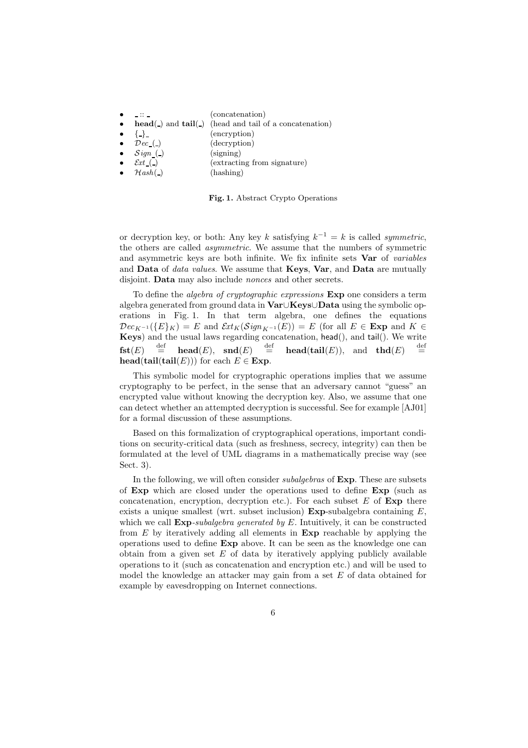|                           | (concatenation)                                          |
|---------------------------|----------------------------------------------------------|
|                           | $head()$ and $tail()$ (head and tail of a concatenation) |
| $\{-\}$                   | (encryption)                                             |
| $\bullet$ $Dec_{\square}$ | (decryption)                                             |
| Sign(.)                   | (signing)                                                |
| $\mathcal{E}xt_{-}(\_)$   | (extracting from signature)                              |
| $\mathcal{H}ash(\_)$      | (hashing)                                                |
|                           |                                                          |

Fig. 1. Abstract Crypto Operations

or decryption key, or both: Any key k satisfying  $k^{-1} = k$  is called *symmetric*, the others are called asymmetric. We assume that the numbers of symmetric and asymmetric keys are both infinite. We fix infinite sets Var of variables and Data of *data values*. We assume that Keys, Var, and Data are mutually disjoint. **Data** may also include *nonces* and other secrets.

To define the *algebra of cryptographic expressions* Exp one considers a term algebra generated from ground data in Var∪Keys∪Data using the symbolic operations in Fig. 1. In that term algebra, one defines the equations  $Dec_{K^{-1}}(\lbrace E \rbrace_K) = E$  and  $\mathcal{E}xt_K(\mathcal{S}ign_{K^{-1}}(E)) = E$  (for all  $E \in \mathbf{Exp}$  and  $K \in$ **Keys**) and the usual laws regarding concatenation, head(), and tail(). We write<br> **fst**(*E*)  $\stackrel{\text{def}}{=}$  head(*E*) snd(*E*)  $\stackrel{\text{def}}{=}$  head(tail(*E*)) and thd(*E*)  $\stackrel{\text{def}}{=}$  $\mathbf{fst}(E) \stackrel{\text{def}}{=}$ head $(E)$ , snd $(E)$ **head**(tail(E)), and thd(E)  $\stackrel{\text{def}}{=}$ head(tail(tail $(E)$ )) for each  $E \in \text{Exp}$ .

This symbolic model for cryptographic operations implies that we assume cryptography to be perfect, in the sense that an adversary cannot "guess" an encrypted value without knowing the decryption key. Also, we assume that one can detect whether an attempted decryption is successful. See for example [AJ01] for a formal discussion of these assumptions.

Based on this formalization of cryptographical operations, important conditions on security-critical data (such as freshness, secrecy, integrity) can then be formulated at the level of UML diagrams in a mathematically precise way (see Sect. 3).

In the following, we will often consider *subalgebras* of **Exp**. These are subsets of Exp which are closed under the operations used to define Exp (such as concatenation, encryption, decryption etc.). For each subset  $E$  of  $Exp$  there exists a unique smallest (wrt. subset inclusion)  $\text{Exp-subalgebra containing } E$ , which we call  $\text{Exp-subalgebra generated by } E$ . Intuitively, it can be constructed from  $E$  by iteratively adding all elements in  $\mathbf{Exp}$  reachable by applying the operations used to define Exp above. It can be seen as the knowledge one can obtain from a given set  $E$  of data by iteratively applying publicly available operations to it (such as concatenation and encryption etc.) and will be used to model the knowledge an attacker may gain from a set  $E$  of data obtained for example by eavesdropping on Internet connections.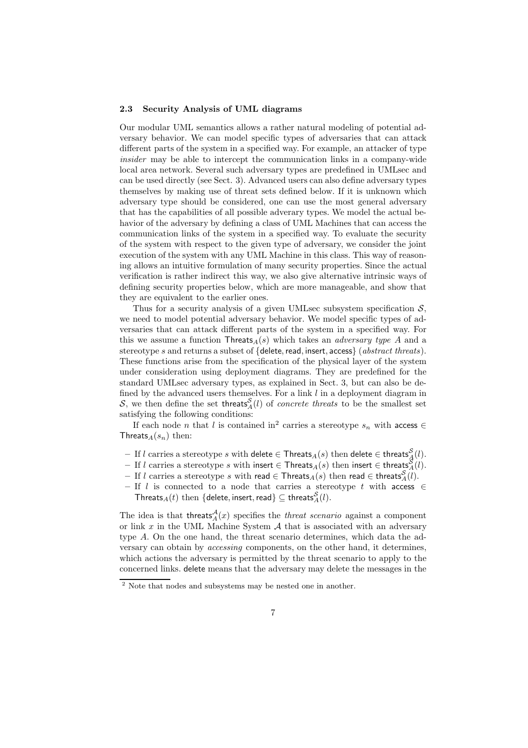#### 2.3 Security Analysis of UML diagrams

Our modular UML semantics allows a rather natural modeling of potential adversary behavior. We can model specific types of adversaries that can attack different parts of the system in a specified way. For example, an attacker of type insider may be able to intercept the communication links in a company-wide local area network. Several such adversary types are predefined in UMLsec and can be used directly (see Sect. 3). Advanced users can also define adversary types themselves by making use of threat sets defined below. If it is unknown which adversary type should be considered, one can use the most general adversary that has the capabilities of all possible adverary types. We model the actual behavior of the adversary by defining a class of UML Machines that can access the communication links of the system in a specified way. To evaluate the security of the system with respect to the given type of adversary, we consider the joint execution of the system with any UML Machine in this class. This way of reasoning allows an intuitive formulation of many security properties. Since the actual verification is rather indirect this way, we also give alternative intrinsic ways of defining security properties below, which are more manageable, and show that they are equivalent to the earlier ones.

Thus for a security analysis of a given UMLsec subsystem specification  $\mathcal{S}$ . we need to model potential adversary behavior. We model specific types of adversaries that can attack different parts of the system in a specified way. For this we assume a function  $\text{Threats}_A(s)$  which takes an *adversary type A* and a stereotype s and returns a subset of {delete, read, insert, access} (abstract threats). These functions arise from the specification of the physical layer of the system under consideration using deployment diagrams. They are predefined for the standard UMLsec adversary types, as explained in Sect. 3, but can also be defined by the advanced users themselves. For a link  $l$  in a deployment diagram in S, we then define the set threats  $\mathcal{S}(l)$  of *concrete threats* to be the smallest set satisfying the following conditions:

If each node *n* that l is contained in<sup>2</sup> carries a stereotype  $s_n$  with access  $\in$ Threats $A(s_n)$  then:

- $-$  If  $l$  carries a stereotype  $s$  with delete  $\in$  Threats $_A(s)$  then delete  $\in$  threats $_A^{\mathcal{S}}(l).$
- If l carries a stereotype s with insert ∈ Threats $A(s)$  then insert ∈ threats $\mathcal{S}_{A}(l)$ .
- $-$  If l carries a stereotype s with read ∈ Threats $A(s)$  then read ∈ threats $A(t)$ .
- If l is connected to a node that carries a stereotype t with access ∈ Threats $_A(t)$  then  $\{$ delete, insert, read $\} \subseteq \operatorname{threads}^{\mathcal{S}}_A(l).$

The idea is that threats  $A(x)$  specifies the *threat scenario* against a component or link  $x$  in the UML Machine System  $A$  that is associated with an adversary type A. On the one hand, the threat scenario determines, which data the adversary can obtain by accessing components, on the other hand, it determines, which actions the adversary is permitted by the threat scenario to apply to the concerned links. delete means that the adversary may delete the messages in the

<sup>&</sup>lt;sup>2</sup> Note that nodes and subsystems may be nested one in another.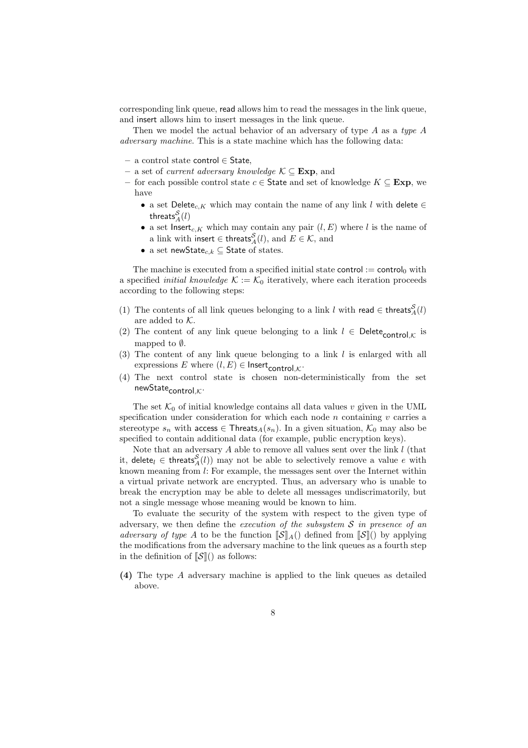corresponding link queue, read allows him to read the messages in the link queue, and insert allows him to insert messages in the link queue.

Then we model the actual behavior of an adversary of type  $A$  as a type  $A$ adversary machine. This is a state machine which has the following data:

- a control state control ∈ State,
- a set of *current adversary knowledge*  $\mathcal{K}$  ⊆ **Exp**, and
- for each possible control state  $c \in$  State and set of knowledge  $K ⊂$  Exp, we have
	- a set Delete<sub>c,K</sub> which may contain the name of any link l with delete  $\in$ threats ${}_{A}^{\mathcal{S}}(l)$
	- a set  $\mathsf{Insert}_{c,K}$  which may contain any pair  $(l, E)$  where l is the name of a link with insert  $\in$  threats ${}_{A}^{\mathcal{S}}(l)$ , and  $E \in \mathcal{K}$ , and
	- a set newState<sub>c,k</sub>  $\subseteq$  State of states.

The machine is executed from a specified initial state control := control<sub>0</sub> with a specified *initial knowledge*  $K := K_0$  iteratively, where each iteration proceeds according to the following steps:

- (1) The contents of all link queues belonging to a link  $l$  with read  $\in$  threats ${}^{\mathcal{S}}_A(l)$ are added to K.
- (2) The content of any link queue belonging to a link  $l \in \text{Delete}_{\text{control},\mathcal{K}}$  is mapped to **Ø**.
- (3) The content of any link queue belonging to a link  $l$  is enlarged with all expressions  $E$  where  $(l,E)\in\mathsf{Insert}_{\mathsf{control},\mathcal{K}}\text{-}$
- (4) The next control state is chosen non-deterministically from the set newState<sub>control, $\kappa \cdot$ </sub>

The set  $\mathcal{K}_0$  of initial knowledge contains all data values v given in the UML specification under consideration for which each node  $n$  containing  $v$  carries a stereotype  $s_n$  with access  $\in$  Threats $_A(s_n)$ . In a given situation,  $\mathcal{K}_0$  may also be specified to contain additional data (for example, public encryption keys).

Note that an adversary  $A$  able to remove all values sent over the link  $l$  (that it, delete<sub>l</sub>  $\in$  threats<sup>S</sup><sub>A</sub>(l)) may not be able to selectively remove a value e with known meaning from l: For example, the messages sent over the Internet within a virtual private network are encrypted. Thus, an adversary who is unable to break the encryption may be able to delete all messages undiscrimatorily, but not a single message whose meaning would be known to him.

To evaluate the security of the system with respect to the given type of adversary, we then define the execution of the subsystem  $S$  in presence of an adversary of type A to be the function  $\|\mathcal{S}\|_{A}$  defined from  $\|\mathcal{S}\|$  by applying the modifications from the adversary machine to the link queues as a fourth step in the definition of  $\mathcal{S}(\mathcal{S})$  as follows:

(4) The type A adversary machine is applied to the link queues as detailed above.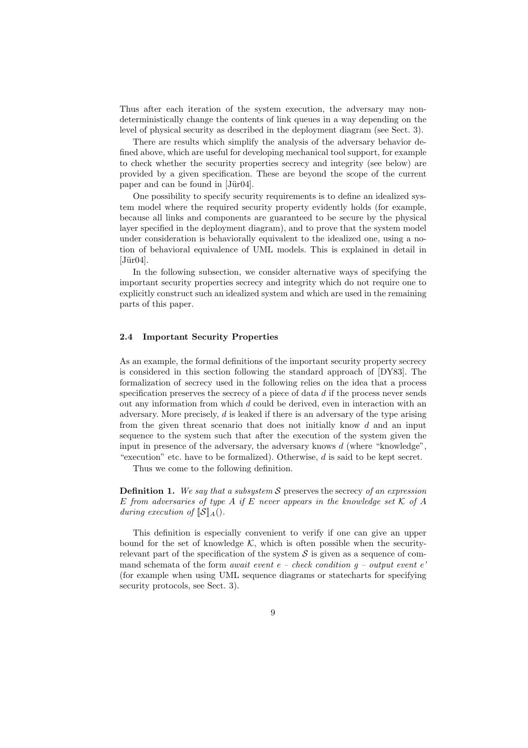Thus after each iteration of the system execution, the adversary may nondeterministically change the contents of link queues in a way depending on the level of physical security as described in the deployment diagram (see Sect. 3).

There are results which simplify the analysis of the adversary behavior defined above, which are useful for developing mechanical tool support, for example to check whether the security properties secrecy and integrity (see below) are provided by a given specification. These are beyond the scope of the current paper and can be found in  $[J\ddot{u}r04]$ .

One possibility to specify security requirements is to define an idealized system model where the required security property evidently holds (for example, because all links and components are guaranteed to be secure by the physical layer specified in the deployment diagram), and to prove that the system model under consideration is behaviorally equivalent to the idealized one, using a notion of behavioral equivalence of UML models. This is explained in detail in  $[J\ddot{u}r04]$ .

In the following subsection, we consider alternative ways of specifying the important security properties secrecy and integrity which do not require one to explicitly construct such an idealized system and which are used in the remaining parts of this paper.

#### 2.4 Important Security Properties

As an example, the formal definitions of the important security property secrecy is considered in this section following the standard approach of [DY83]. The formalization of secrecy used in the following relies on the idea that a process specification preserves the secrecy of a piece of data  $d$  if the process never sends out any information from which d could be derived, even in interaction with an adversary. More precisely, d is leaked if there is an adversary of the type arising from the given threat scenario that does not initially know  $d$  and an input sequence to the system such that after the execution of the system given the input in presence of the adversary, the adversary knows  $d$  (where "knowledge", "execution" etc. have to be formalized). Otherwise, d is said to be kept secret.

Thus we come to the following definition.

**Definition 1.** We say that a subsystem S preserves the secrecy of an expression E from adversaries of type A if E never appears in the knowledge set K of A during execution of  $\llbracket \mathcal{S} \rrbracket_A$ .

This definition is especially convenient to verify if one can give an upper bound for the set of knowledge  $K$ , which is often possible when the securityrelevant part of the specification of the system  $\mathcal S$  is given as a sequence of command schemata of the form *await event e – check condition*  $q$  *– output event e'* (for example when using UML sequence diagrams or statecharts for specifying security protocols, see Sect. 3).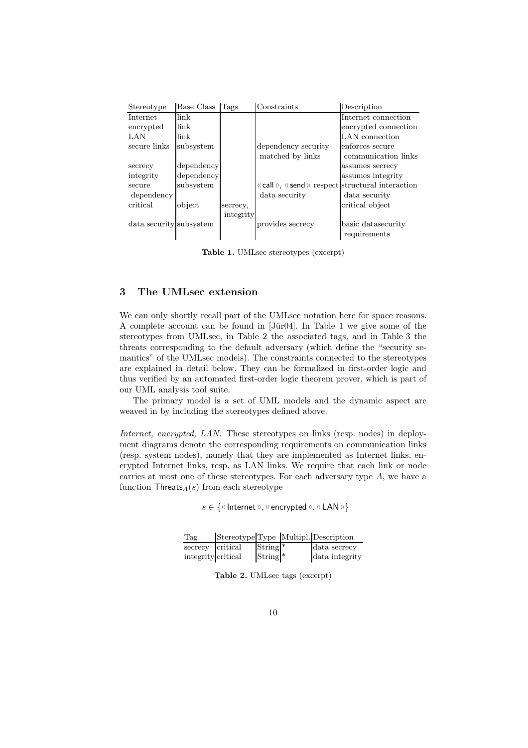| Stereotype              | Base Class | Tags      | Constraints                                                                                      | Description          |
|-------------------------|------------|-----------|--------------------------------------------------------------------------------------------------|----------------------|
| Internet                | link       |           |                                                                                                  | Internet connection  |
| encrypted               | link       |           |                                                                                                  | encrypted connection |
| LAN                     | link       |           |                                                                                                  | LAN connection       |
| secure links            | subsystem  |           | dependency security                                                                              | enforces secure      |
|                         |            |           | matched by links                                                                                 | communication links  |
| secrecy                 | dependency |           |                                                                                                  | assumes secrecy      |
| integrity               | dependency |           |                                                                                                  | assumes integrity    |
| secure                  | subsystem  |           | $\langle \mathsf{call} \rangle$ , $\langle \mathsf{send} \rangle$ respect structural interaction |                      |
| dependency              |            |           | data security                                                                                    | data security        |
| critical                | object     | secrecy,  |                                                                                                  | critical object      |
|                         |            | integrity |                                                                                                  |                      |
| data security subsystem |            |           | provides secrecy                                                                                 | basic datasecurity   |
|                         |            |           |                                                                                                  | requirements         |

Table 1. UMLsec stereotypes (excerpt)

### 3 The UMLsec extension

We can only shortly recall part of the UMLsec notation here for space reasons. A complete account can be found in [Jür04]. In Table 1 we give some of the stereotypes from UMLsec, in Table 2 the associated tags, and in Table 3 the threats corresponding to the default adversary (which define the "security semantics" of the UMLsec models). The constraints connected to the stereotypes are explained in detail below. They can be formalized in first-order logic and thus verified by an automated first-order logic theorem prover, which is part of our UML analysis tool suite.

The primary model is a set of UML models and the dynamic aspect are weaved in by including the stereotypes defined above.

Internet, encrypted, LAN: These stereotypes on links (resp. nodes) in deployment diagrams denote the corresponding requirements on communication links (resp. system nodes), namely that they are implemented as Internet links, encrypted Internet links, resp. as LAN links. We require that each link or node carries at most one of these stereotypes. For each adversary type A, we have a function  $Threshold$  from each stereotype

|  |  |  |  | $s \in \{\text{``Internet w}, \text{``encrypted w}, \text{``LAN w}\}$ |
|--|--|--|--|-----------------------------------------------------------------------|
|--|--|--|--|-----------------------------------------------------------------------|

| Tag                |                       | Stereotype Type Multipl. Description |
|--------------------|-----------------------|--------------------------------------|
| secrecy critical   | $String$ <sup>*</sup> | data secrecy                         |
| integrity critical | $\text{String}^*$     | data integrity                       |

Table 2. UMLsec tags (excerpt)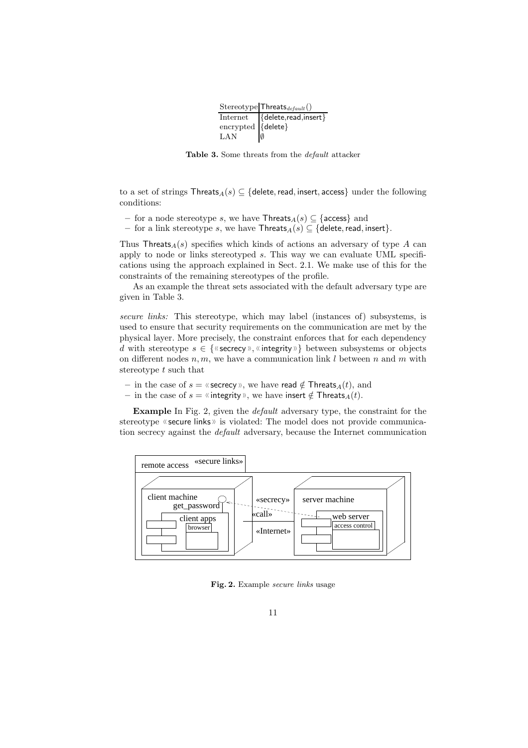|                     | $\text{Stereotype}$ Threats $_{default}()$ |
|---------------------|--------------------------------------------|
|                     | Internet { delete, read, insert }          |
| encrypted {{delete} |                                            |
| LAN                 | N                                          |

Table 3. Some threats from the default attacker

to a set of strings  $\mathsf{Threats}_A(s) \subseteq \{\mathsf{delete}, \mathsf{read}, \mathsf{insert}, \mathsf{access}\}$  under the following conditions:

- for a node stereotype s, we have  $\mathsf{Threats}_A(s) \subseteq \{\mathsf{access}\}\$ and
- for a link stereotype s, we have  $\mathsf{Threats}_A(s) \subseteq \{\mathsf{delete}, \mathsf{read}, \mathsf{insert}\}.$

Thus Threats<sub>A</sub>(s) specifies which kinds of actions an adversary of type A can apply to node or links stereotyped s. This way we can evaluate UML specifications using the approach explained in Sect. 2.1. We make use of this for the constraints of the remaining stereotypes of the profile.

As an example the threat sets associated with the default adversary type are given in Table 3.

secure links: This stereotype, which may label (instances of) subsystems, is used to ensure that security requirements on the communication are met by the physical layer. More precisely, the constraint enforces that for each dependency d with stereotype  $s \in \{\mathsf{``secrecy''}, \mathsf{``integrity''}\}$  between subsystems or objects on different nodes  $n, m$ , we have a communication link l between n and m with stereotype  $t$  such that

- in the case of  $s = \langle \text{secrecy} \rangle$ , we have read  $\notin$  Threats<sub>A</sub>(t), and
- in the case of  $s = \text{w}$  integrity », we have insert  $\notin$  Threats $_A(t)$ .

Example In Fig. 2, given the default adversary type, the constraint for the stereotype «secure links » is violated: The model does not provide communication secrecy against the default adversary, because the Internet communication



Fig. 2. Example secure links usage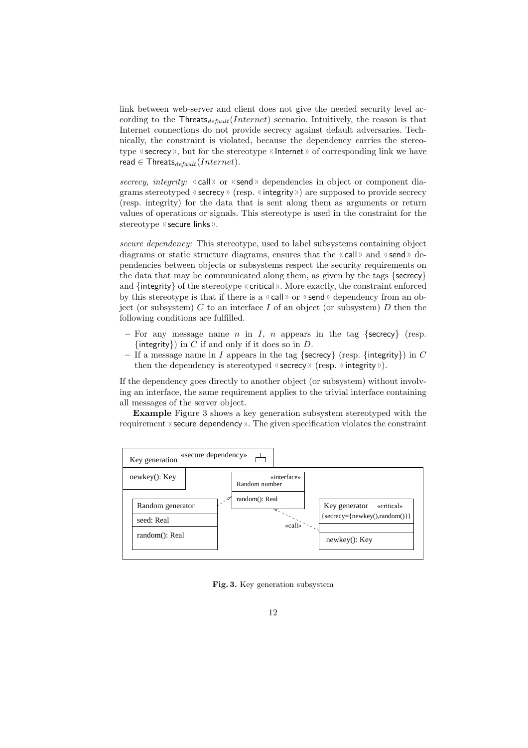link between web-server and client does not give the needed security level according to the  $Theta_{default}(Internet)$  scenario. Intuitively, the reason is that Internet connections do not provide secrecy against default adversaries. Technically, the constraint is violated, because the dependency carries the stereotype « secrecy », but for the stereotype « Internet » of corresponding link we have read  $\in$  Threats $_{default}(Internet)$ .

secrecy, integrity:  $\langle \text{call} \rangle$  or  $\langle \text{send} \rangle$  dependencies in object or component diagrams stereotyped « $\epsilon$  secrecy » (resp. «integrity ») are supposed to provide secrecy (resp. integrity) for the data that is sent along them as arguments or return values of operations or signals. This stereotype is used in the constraint for the stereotype « secure links ».

secure dependency: This stereotype, used to label subsystems containing object diagrams or static structure diagrams, ensures that the  $\kappa$  call  $\delta$  and  $\kappa$  send  $\delta$  dependencies between objects or subsystems respect the security requirements on the data that may be communicated along them, as given by the tags  $\{$  secrecy $\}$ and {integrity} of the stereotype  $\kappa$  critical  $\kappa$ . More exactly, the constraint enforced by this stereotype is that if there is a  $\kappa$  call  $\kappa$  or  $\kappa$  send  $\kappa$  dependency from an object (or subsystem)  $C$  to an interface  $I$  of an object (or subsystem)  $D$  then the following conditions are fulfilled.

- For any message name n in I, n appears in the tag {secrecy} (resp. {integrity}) in  $C$  if and only if it does so in  $D$ .
- If a message name in I appears in the tag {secrecy} (resp. {integrity}) in C then the dependency is stereotyped « secrecy » (resp. « integrity »).

If the dependency goes directly to another object (or subsystem) without involving an interface, the same requirement applies to the trivial interface containing all messages of the server object.

Example Figure 3 shows a key generation subsystem stereotyped with the requirement  $\kappa$  secure dependency  $\kappa$ . The given specification violates the constraint



Fig. 3. Key generation subsystem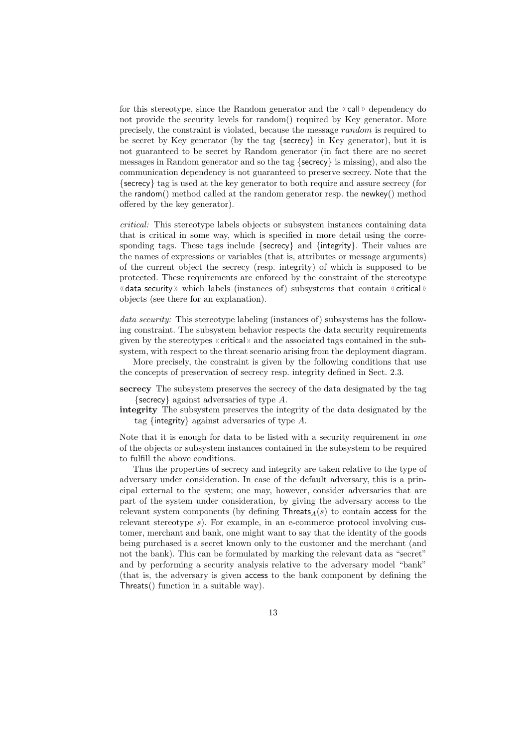for this stereotype, since the Random generator and the  $\kappa$  call  $\kappa$  dependency do not provide the security levels for random() required by Key generator. More precisely, the constraint is violated, because the message random is required to be secret by Key generator (by the tag {secrecy} in Key generator), but it is not guaranteed to be secret by Random generator (in fact there are no secret messages in Random generator and so the tag {secrecy} is missing), and also the communication dependency is not guaranteed to preserve secrecy. Note that the {secrecy} tag is used at the key generator to both require and assure secrecy (for the random() method called at the random generator resp. the newkey() method offered by the key generator).

critical: This stereotype labels objects or subsystem instances containing data that is critical in some way, which is specified in more detail using the corresponding tags. These tags include  $\{secrety\}$  and  $\{intergrity\}$ . Their values are the names of expressions or variables (that is, attributes or message arguments) of the current object the secrecy (resp. integrity) of which is supposed to be protected. These requirements are enforced by the constraint of the stereotype « data security » which labels (instances of) subsystems that contain « critical » objects (see there for an explanation).

data security: This stereotype labeling (instances of) subsystems has the following constraint. The subsystem behavior respects the data security requirements given by the stereotypes  $\kappa$  critical  $\kappa$  and the associated tags contained in the subsystem, with respect to the threat scenario arising from the deployment diagram.

More precisely, the constraint is given by the following conditions that use the concepts of preservation of secrecy resp. integrity defined in Sect. 2.3.

- secrecy The subsystem preserves the secrecy of the data designated by the tag  $\{$  secrecy $\}$  against adversaries of type A.
- integrity The subsystem preserves the integrity of the data designated by the tag {integrity} against adversaries of type A.

Note that it is enough for data to be listed with a security requirement in one of the objects or subsystem instances contained in the subsystem to be required to fulfill the above conditions.

Thus the properties of secrecy and integrity are taken relative to the type of adversary under consideration. In case of the default adversary, this is a principal external to the system; one may, however, consider adversaries that are part of the system under consideration, by giving the adversary access to the relevant system components (by defining  $Threats<sub>A</sub>(s)$  to contain access for the relevant stereotype s). For example, in an e-commerce protocol involving customer, merchant and bank, one might want to say that the identity of the goods being purchased is a secret known only to the customer and the merchant (and not the bank). This can be formulated by marking the relevant data as "secret" and by performing a security analysis relative to the adversary model "bank" (that is, the adversary is given access to the bank component by defining the Threats() function in a suitable way).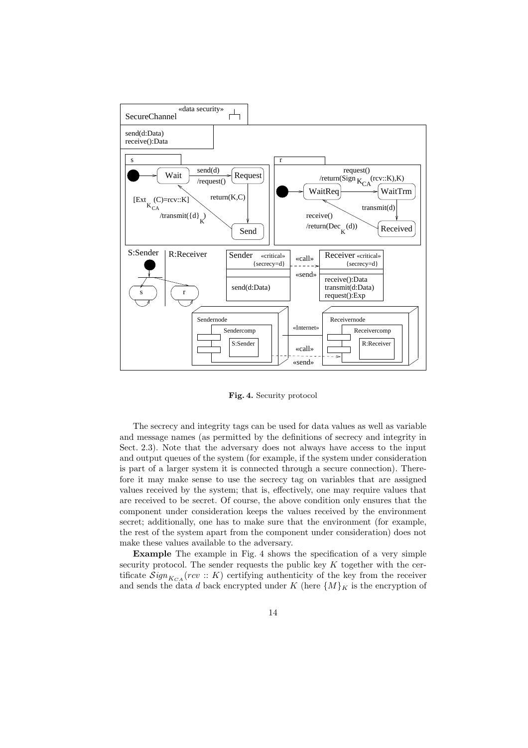

Fig. 4. Security protocol

The secrecy and integrity tags can be used for data values as well as variable and message names (as permitted by the definitions of secrecy and integrity in Sect. 2.3). Note that the adversary does not always have access to the input and output queues of the system (for example, if the system under consideration is part of a larger system it is connected through a secure connection). Therefore it may make sense to use the secrecy tag on variables that are assigned values received by the system; that is, effectively, one may require values that are received to be secret. Of course, the above condition only ensures that the component under consideration keeps the values received by the environment secret; additionally, one has to make sure that the environment (for example, the rest of the system apart from the component under consideration) does not make these values available to the adversary.

Example The example in Fig. 4 shows the specification of a very simple security protocol. The sender requests the public key  $K$  together with the certificate  $Sign_{K_{CA}}(rcv :: K)$  certifying authenticity of the key from the receiver and sends the data d back encrypted under K (here  $\{M\}_K$  is the encryption of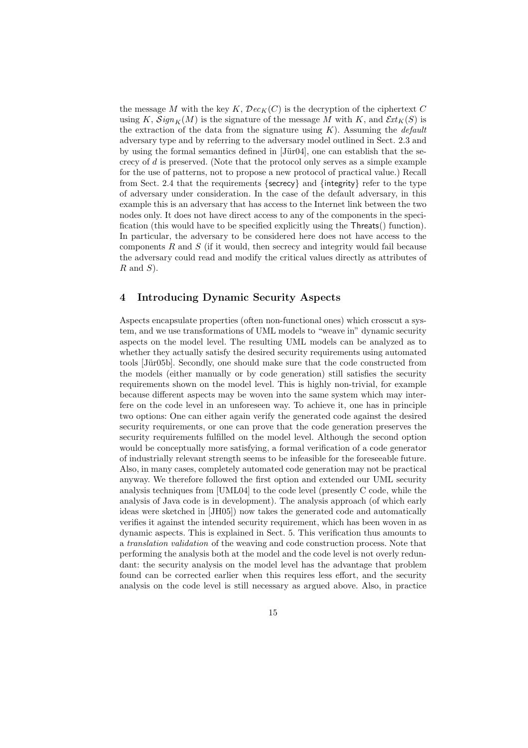the message M with the key K,  $\mathcal{D}ec_K(C)$  is the decryption of the ciphertext C using K,  $\mathcal{S}ign_K(M)$  is the signature of the message M with K, and  $\mathcal{E}xt_K(S)$  is the extraction of the data from the signature using  $K$ ). Assuming the *default* adversary type and by referring to the adversary model outlined in Sect. 2.3 and by using the formal semantics defined in  $[J\ddot{u}r04]$ , one can establish that the secrecy of  $d$  is preserved. (Note that the protocol only serves as a simple example for the use of patterns, not to propose a new protocol of practical value.) Recall from Sect. 2.4 that the requirements {secrecy} and {integrity} refer to the type of adversary under consideration. In the case of the default adversary, in this example this is an adversary that has access to the Internet link between the two nodes only. It does not have direct access to any of the components in the specification (this would have to be specified explicitly using the Threats() function). In particular, the adversary to be considered here does not have access to the components  $R$  and  $S$  (if it would, then secrecy and integrity would fail because the adversary could read and modify the critical values directly as attributes of  $R$  and  $S$ ).

## 4 Introducing Dynamic Security Aspects

Aspects encapsulate properties (often non-functional ones) which crosscut a system, and we use transformations of UML models to "weave in" dynamic security aspects on the model level. The resulting UML models can be analyzed as to whether they actually satisfy the desired security requirements using automated tools [Jür05b]. Secondly, one should make sure that the code constructed from the models (either manually or by code generation) still satisfies the security requirements shown on the model level. This is highly non-trivial, for example because different aspects may be woven into the same system which may interfere on the code level in an unforeseen way. To achieve it, one has in principle two options: One can either again verify the generated code against the desired security requirements, or one can prove that the code generation preserves the security requirements fulfilled on the model level. Although the second option would be conceptually more satisfying, a formal verification of a code generator of industrially relevant strength seems to be infeasible for the foreseeable future. Also, in many cases, completely automated code generation may not be practical anyway. We therefore followed the first option and extended our UML security analysis techniques from [UML04] to the code level (presently C code, while the analysis of Java code is in development). The analysis approach (of which early ideas were sketched in [JH05]) now takes the generated code and automatically verifies it against the intended security requirement, which has been woven in as dynamic aspects. This is explained in Sect. 5. This verification thus amounts to a translation validation of the weaving and code construction process. Note that performing the analysis both at the model and the code level is not overly redundant: the security analysis on the model level has the advantage that problem found can be corrected earlier when this requires less effort, and the security analysis on the code level is still necessary as argued above. Also, in practice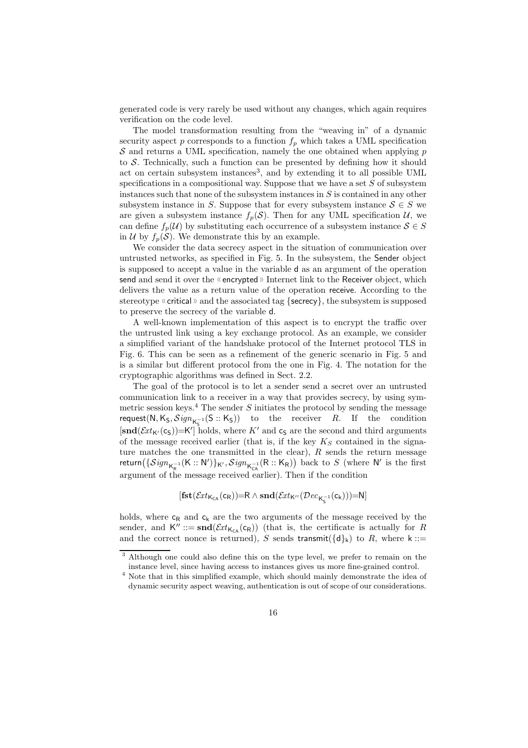generated code is very rarely be used without any changes, which again requires verification on the code level.

The model transformation resulting from the "weaving in" of a dynamic security aspect p corresponds to a function  $f_p$  which takes a UML specification S and returns a UML specification, namely the one obtained when applying  $p$ to  $S$ . Technically, such a function can be presented by defining how it should act on certain subsystem instances<sup>3</sup>, and by extending it to all possible UML specifications in a compositional way. Suppose that we have a set  $S$  of subsystem instances such that none of the subsystem instances in  $S$  is contained in any other subsystem instance in S. Suppose that for every subsystem instance  $S \in S$  we are given a subsystem instance  $f_p(\mathcal{S})$ . Then for any UML specification  $\mathcal{U}$ , we can define  $f_p(\mathcal{U})$  by substituting each occurrence of a subsystem instance  $\mathcal{S} \in S$ in  $U$  by  $f_p(\mathcal{S})$ . We demonstrate this by an example.

We consider the data secrecy aspect in the situation of communication over untrusted networks, as specified in Fig. 5. In the subsystem, the Sender object is supposed to accept a value in the variable d as an argument of the operation send and send it over the  $\kappa$  encrypted  $\kappa$  Internet link to the Receiver object, which delivers the value as a return value of the operation receive. According to the stereotype « $critical$ » and the associated tag {secrecy}, the subsystem is supposed to preserve the secrecy of the variable d.

A well-known implementation of this aspect is to encrypt the traffic over the untrusted link using a key exchange protocol. As an example, we consider a simplified variant of the handshake protocol of the Internet protocol TLS in Fig. 6. This can be seen as a refinement of the generic scenario in Fig. 5 and is a similar but different protocol from the one in Fig. 4. The notation for the cryptographic algorithms was defined in Sect. 2.2.

The goal of the protocol is to let a sender send a secret over an untrusted communication link to a receiver in a way that provides secrecy, by using symmetric session keys.<sup>4</sup> The sender  $S$  initiates the protocol by sending the message request(N, K<sub>S</sub>,  $Sign_{K_{\mathbb{S}}^{-1}}(\mathsf{S}::\mathsf{K}_{\mathsf{S}}))$  to the receiver  $R.$  If the condition  $[\text{snd}(\mathcal{E}xt_{K'}(c_5))=K']$  holds, where K' and  $c_5$  are the second and third arguments of the message received earlier (that is, if the key  $K_S$  contained in the signature matches the one transmitted in the clear),  $R$  sends the return message return $\bigl(\{\mathcal Sign_{\mathsf K_{\mathsf R}^{-1}}(\mathsf K::\mathsf N')\}_{\mathsf K'},\mathcal Sign_{\mathsf K_{\mathsf{CA}}^{-1}}(\mathsf R:\mathsf K_{\mathsf R})\bigr)$  back to  $S$  (where  $\mathsf N'$  is the first argument of the message received earlier). Then if the condition

 $[\mathbf{fst}(\mathcal{E}xt_{\mathsf{K}_{\mathsf{CA}}}(\mathsf{c}_\mathsf{R}))\!\!=\!\!\mathsf{R} \wedge \mathbf{snd}(\mathcal{E}xt_{\mathsf{K}''}(\mathcal{D}ec_{\mathsf{K}^{-1}_\mathsf{S}}(\mathsf{c}_\mathsf{k})))\!\!=\!\!\mathsf{N}]$ 

holds, where  $c_R$  and  $c_k$  are the two arguments of the message received by the sender, and  $K'' ::= \text{snd}(\mathcal{E}xt_{K_{CA}}(c_R))$  (that is, the certificate is actually for R and the correct nonce is returned), S sends transmit( $\{d\}_k$ ) to R, where k ::=

<sup>3</sup> Although one could also define this on the type level, we prefer to remain on the instance level, since having access to instances gives us more fine-grained control.

<sup>4</sup> Note that in this simplified example, which should mainly demonstrate the idea of dynamic security aspect weaving, authentication is out of scope of our considerations.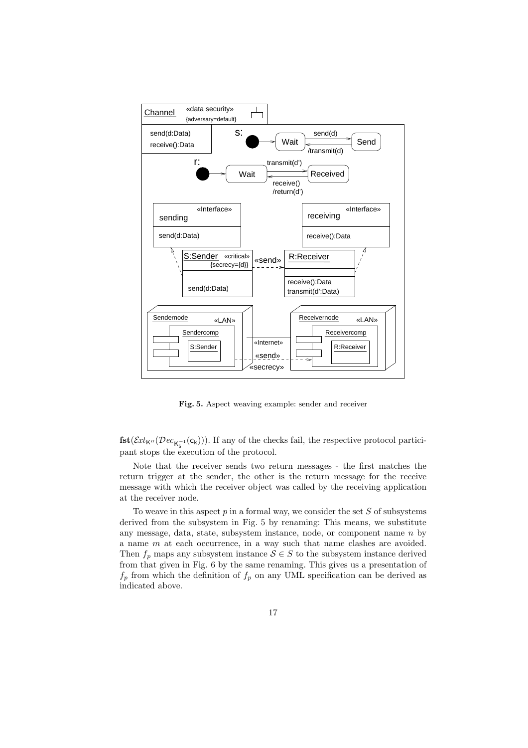

Fig. 5. Aspect weaving example: sender and receiver

 $\bf{fst}(\mathcal{E}xt_{K''}(\mathcal{D}ec_{K_{\mathcal{S}}^{-1}}(c_{k})))$ . If any of the checks fail, the respective protocol participant stops the execution of the protocol.

Note that the receiver sends two return messages - the first matches the return trigger at the sender, the other is the return message for the receive message with which the receiver object was called by the receiving application at the receiver node.

To weave in this aspect  $p$  in a formal way, we consider the set  $S$  of subsystems derived from the subsystem in Fig. 5 by renaming: This means, we substitute any message, data, state, subsystem instance, node, or component name  $n$  by a name m at each occurrence, in a way such that name clashes are avoided. Then  $f_p$  maps any subsystem instance  $S \in S$  to the subsystem instance derived from that given in Fig. 6 by the same renaming. This gives us a presentation of  $f_p$  from which the definition of  $f_p$  on any UML specification can be derived as indicated above.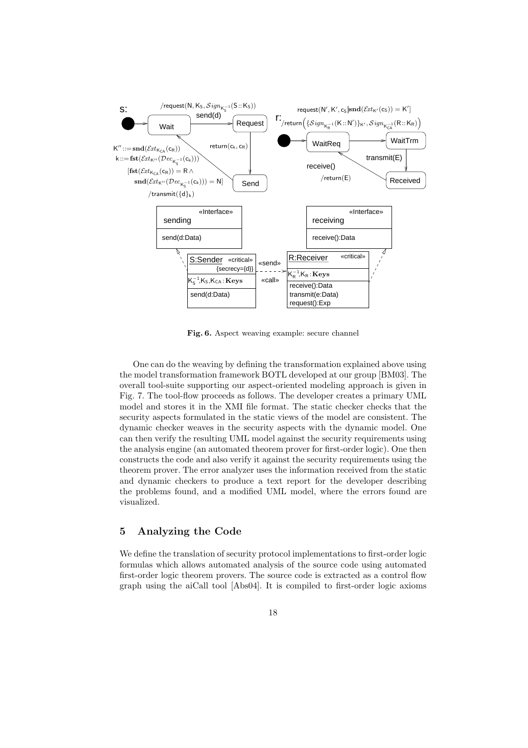

Fig. 6. Aspect weaving example: secure channel

One can do the weaving by defining the transformation explained above using the model transformation framework BOTL developed at our group [BM03]. The overall tool-suite supporting our aspect-oriented modeling approach is given in Fig. 7. The tool-flow proceeds as follows. The developer creates a primary UML model and stores it in the XMI file format. The static checker checks that the security aspects formulated in the static views of the model are consistent. The dynamic checker weaves in the security aspects with the dynamic model. One can then verify the resulting UML model against the security requirements using the analysis engine (an automated theorem prover for first-order logic). One then constructs the code and also verify it against the security requirements using the theorem prover. The error analyzer uses the information received from the static and dynamic checkers to produce a text report for the developer describing the problems found, and a modified UML model, where the errors found are visualized.

### 5 Analyzing the Code

We define the translation of security protocol implementations to first-order logic formulas which allows automated analysis of the source code using automated first-order logic theorem provers. The source code is extracted as a control flow graph using the aiCall tool [Abs04]. It is compiled to first-order logic axioms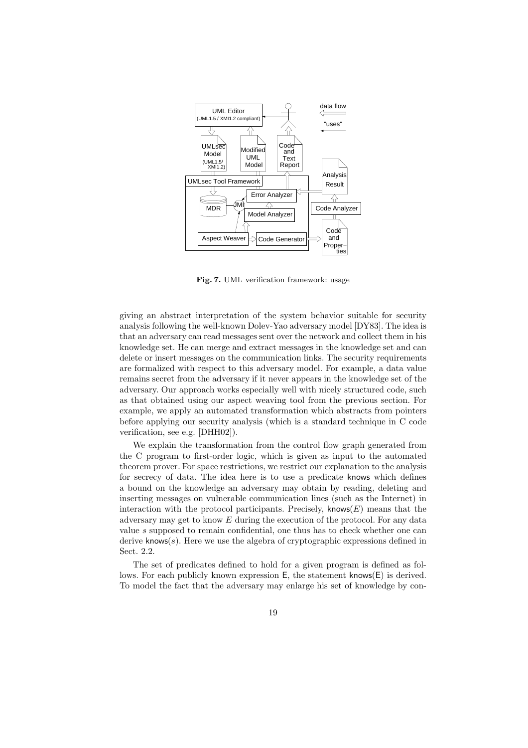

Fig. 7. UML verification framework: usage

giving an abstract interpretation of the system behavior suitable for security analysis following the well-known Dolev-Yao adversary model [DY83]. The idea is that an adversary can read messages sent over the network and collect them in his knowledge set. He can merge and extract messages in the knowledge set and can delete or insert messages on the communication links. The security requirements are formalized with respect to this adversary model. For example, a data value remains secret from the adversary if it never appears in the knowledge set of the adversary. Our approach works especially well with nicely structured code, such as that obtained using our aspect weaving tool from the previous section. For example, we apply an automated transformation which abstracts from pointers before applying our security analysis (which is a standard technique in C code verification, see e.g. [DHH02]).

We explain the transformation from the control flow graph generated from the C program to first-order logic, which is given as input to the automated theorem prover. For space restrictions, we restrict our explanation to the analysis for secrecy of data. The idea here is to use a predicate knows which defines a bound on the knowledge an adversary may obtain by reading, deleting and inserting messages on vulnerable communication lines (such as the Internet) in interaction with the protocol participants. Precisely, knows $(E)$  means that the adversary may get to know E during the execution of the protocol. For any data value s supposed to remain confidential, one thus has to check whether one can derive knows( $s$ ). Here we use the algebra of cryptographic expressions defined in Sect. 2.2.

The set of predicates defined to hold for a given program is defined as follows. For each publicly known expression E, the statement knows(E) is derived. To model the fact that the adversary may enlarge his set of knowledge by con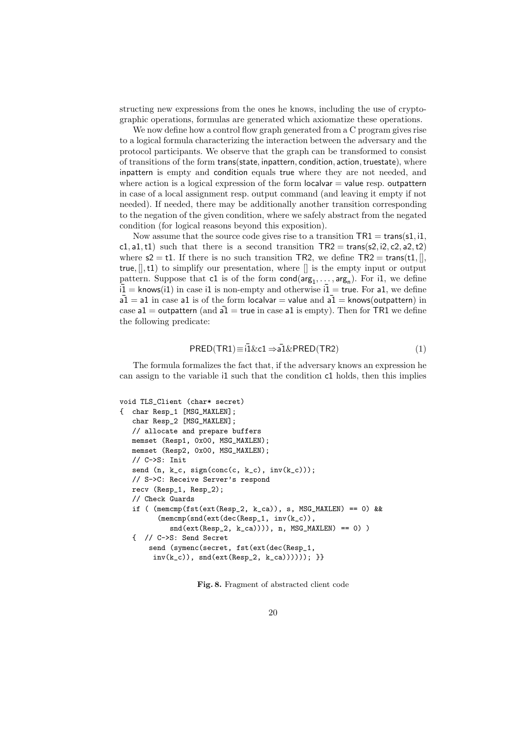structing new expressions from the ones he knows, including the use of cryptographic operations, formulas are generated which axiomatize these operations.

We now define how a control flow graph generated from a C program gives rise to a logical formula characterizing the interaction between the adversary and the protocol participants. We observe that the graph can be transformed to consist of transitions of the form trans(state, inpattern, condition, action, truestate), where inpattern is empty and condition equals true where they are not needed, and where action is a logical expression of the form  $\alpha$  localvar  $=$  value resp. outpattern in case of a local assignment resp. output command (and leaving it empty if not needed). If needed, there may be additionally another transition corresponding to the negation of the given condition, where we safely abstract from the negated condition (for logical reasons beyond this exposition).

Now assume that the source code gives rise to a transition  $TR1 = \text{trans}(s1, i1, j)$  $c1$ , a1, t1) such that there is a second transition  $TR2 = \text{trans}(s2, i2, c2, a2, t2)$ where  $s2 = t1$ . If there is no such transition TR2, we define TR2 = trans(t1, [], true,  $[1, t1]$  to simplify our presentation, where  $[$  is the empty input or output pattern. Suppose that c1 is of the form  $cond(arg_1, \ldots, arg_n)$ . For i1, we define  $i\overline{1}$  = knows(i1) in case i1 is non-empty and otherwise  $i\overline{1}$  = true. For a1, we define  $a\overline{1} = a1$  in case a1 is of the form localvar = value and  $a\overline{1} =$  knows(outpattern) in case a1 = outpattern (and  $a\overline{1}$  = true in case a1 is empty). Then for TR1 we define the following predicate:

$$
PRED(TR1) \equiv i\overline{1}\&c1 \Rightarrow \overline{a}\overline{1}\&PRED(TR2)
$$
 (1)

The formula formalizes the fact that, if the adversary knows an expression he can assign to the variable i1 such that the condition c1 holds, then this implies

```
void TLS_Client (char* secret)
{ char Resp_1 [MSG_MAXLEN];
   char Resp_2 [MSG_MAXLEN];
   // allocate and prepare buffers
   memset (Resp1, 0x00, MSG_MAXLEN);
   memset (Resp2, 0x00, MSG_MAXLEN);
   // C->S: Init
   send (n, k_c, sign(conc(c, k_c), inv(k_c)));
   // S->C: Receive Server's respond
   recv (Resp_1, Resp_2);
   // Check Guards
   if ( (memcmp(fst(ext(Resp_2, k_ca)), s, MSG_MAXLEN) == 0) &&
         (memcmp(snd(ext(dec(Resp_1, inv(k_c)),
            snd(ext(Resp_2, k_ca))), n, MSG_MAXLEN == 0) )
   { // C->S: Send Secret
       send (symenc(secret, fst(ext(dec(Resp_1,
        inv(k_c), snd(ext(Resp_2, k_ca))))); }}
```
Fig. 8. Fragment of abstracted client code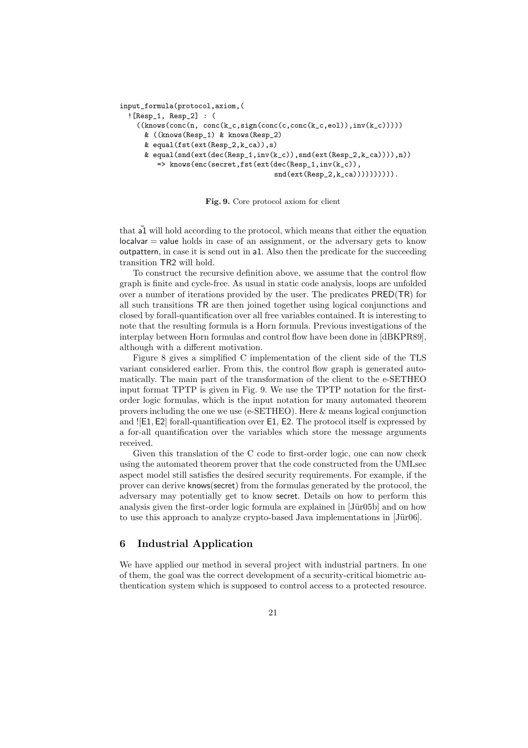```
input_formula(protocol,axiom,(
  ![Resp_1, Resp_2] : (
    ((\text{knows}(conc(n, conc(k_c, sign(conc(c, conc(k_c, eo1)),inv(k_c))))))& ((knows(Resp_1) & knows(Resp_2)
      & equal(fst(ext(Resp_2,k_ca)),s)
      & equal(snd(ext(dec(Resp_1,inv(k_c)),snd(ext(Resp_2,k_ca)))),n))
         => knows(enc(secret,fst(ext(dec(Resp_1,inv(k_c)),
                                       snd(ext(Resp_2,k_ca)))))))))).
```
Fig. 9. Core protocol axiom for client

that  $\overline{a}1$  will hold according to the protocol, which means that either the equation  $\alpha$  localvar = value holds in case of an assignment, or the adversary gets to know outpattern, in case it is send out in a1. Also then the predicate for the succeeding transition TR2 will hold.

To construct the recursive definition above, we assume that the control flow graph is finite and cycle-free. As usual in static code analysis, loops are unfolded over a number of iterations provided by the user. The predicates PRED(TR) for all such transitions TR are then joined together using logical conjunctions and closed by forall-quantification over all free variables contained. It is interesting to note that the resulting formula is a Horn formula. Previous investigations of the interplay between Horn formulas and control flow have been done in [dBKPR89], although with a different motivation.

Figure 8 gives a simplified C implementation of the client side of the TLS variant considered earlier. From this, the control flow graph is generated automatically. The main part of the transformation of the client to the e-SETHEO input format TPTP is given in Fig. 9. We use the TPTP notation for the firstorder logic formulas, which is the input notation for many automated theorem provers including the one we use (e-SETHEO). Here & means logical conjunction and ![E1, E2] forall-quantification over E1, E2. The protocol itself is expressed by a for-all quantification over the variables which store the message arguments received.

Given this translation of the C code to first-order logic, one can now check using the automated theorem prover that the code constructed from the UMLsec aspect model still satisfies the desired security requirements. For example, if the prover can derive knows(secret) from the formulas generated by the protocol, the adversary may potentially get to know secret. Details on how to perform this analysis given the first-order logic formula are explained in [Jür05b] and on how to use this approach to analyze crypto-based Java implementations in  $\left[\text{Jür06}\right]$ .

#### 6 Industrial Application

We have applied our method in several project with industrial partners. In one of them, the goal was the correct development of a security-critical biometric authentication system which is supposed to control access to a protected resource.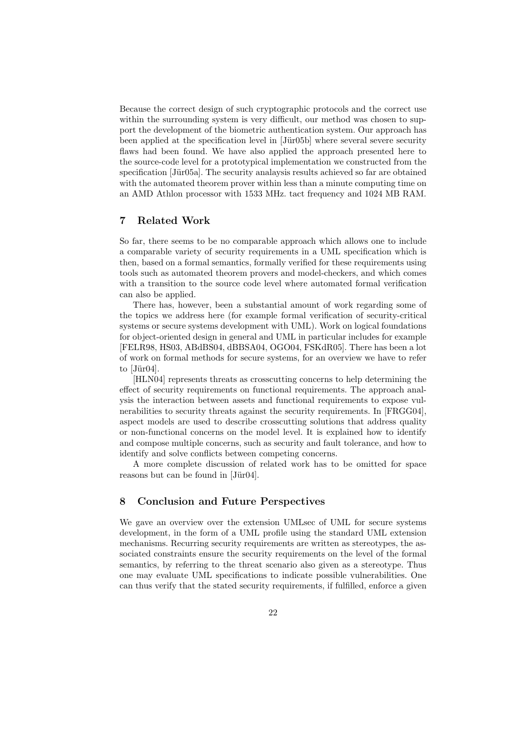Because the correct design of such cryptographic protocols and the correct use within the surrounding system is very difficult, our method was chosen to support the development of the biometric authentication system. Our approach has been applied at the specification level in [Jür05b] where several severe security flaws had been found. We have also applied the approach presented here to the source-code level for a prototypical implementation we constructed from the specification [Jür05a]. The security analaysis results achieved so far are obtained with the automated theorem prover within less than a minute computing time on an AMD Athlon processor with 1533 MHz. tact frequency and 1024 MB RAM.

### 7 Related Work

So far, there seems to be no comparable approach which allows one to include a comparable variety of security requirements in a UML specification which is then, based on a formal semantics, formally verified for these requirements using tools such as automated theorem provers and model-checkers, and which comes with a transition to the source code level where automated formal verification can also be applied.

There has, however, been a substantial amount of work regarding some of the topics we address here (for example formal verification of security-critical systems or secure systems development with UML). Work on logical foundations for object-oriented design in general and UML in particular includes for example [FELR98, HS03, ABdBS04, dBBSA04, OGO04, FSKdR05]. There has been a lot of work on formal methods for secure systems, for an overview we have to refer to  $[J\ddot{u}r04]$ .

[HLN04] represents threats as crosscutting concerns to help determining the effect of security requirements on functional requirements. The approach analysis the interaction between assets and functional requirements to expose vulnerabilities to security threats against the security requirements. In [FRGG04], aspect models are used to describe crosscutting solutions that address quality or non-functional concerns on the model level. It is explained how to identify and compose multiple concerns, such as security and fault tolerance, and how to identify and solve conflicts between competing concerns.

A more complete discussion of related work has to be omitted for space reasons but can be found in  $[J\ddot{u}r04]$ .

#### 8 Conclusion and Future Perspectives

We gave an overview over the extension UMLsec of UML for secure systems development, in the form of a UML profile using the standard UML extension mechanisms. Recurring security requirements are written as stereotypes, the associated constraints ensure the security requirements on the level of the formal semantics, by referring to the threat scenario also given as a stereotype. Thus one may evaluate UML specifications to indicate possible vulnerabilities. One can thus verify that the stated security requirements, if fulfilled, enforce a given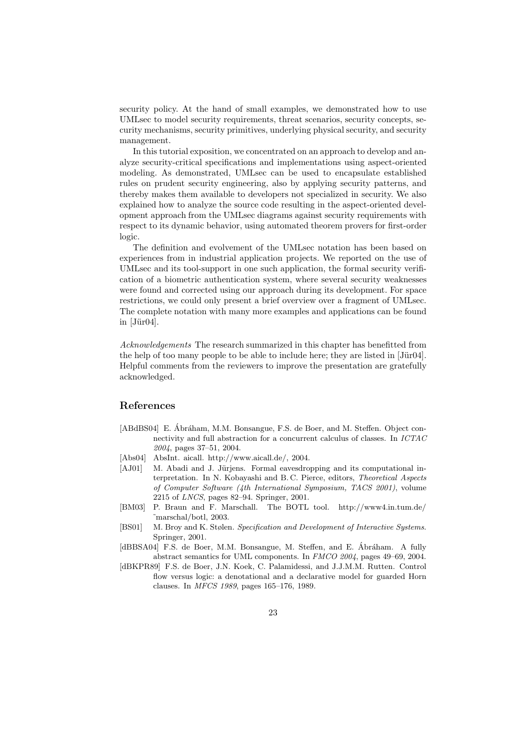security policy. At the hand of small examples, we demonstrated how to use UMLsec to model security requirements, threat scenarios, security concepts, security mechanisms, security primitives, underlying physical security, and security management.

In this tutorial exposition, we concentrated on an approach to develop and analyze security-critical specifications and implementations using aspect-oriented modeling. As demonstrated, UMLsec can be used to encapsulate established rules on prudent security engineering, also by applying security patterns, and thereby makes them available to developers not specialized in security. We also explained how to analyze the source code resulting in the aspect-oriented development approach from the UMLsec diagrams against security requirements with respect to its dynamic behavior, using automated theorem provers for first-order logic.

The definition and evolvement of the UMLsec notation has been based on experiences from in industrial application projects. We reported on the use of UMLsec and its tool-support in one such application, the formal security verification of a biometric authentication system, where several security weaknesses were found and corrected using our approach during its development. For space restrictions, we could only present a brief overview over a fragment of UMLsec. The complete notation with many more examples and applications can be found in  $[J\ddot{u}r04]$ .

Acknowledgements The research summarized in this chapter has benefitted from the help of too many people to be able to include here; they are listed in  $[\text{Jür04}]$ . Helpful comments from the reviewers to improve the presentation are gratefully acknowledged.

#### References

- [ABdBS04] E. Ábráham, M.M. Bonsangue, F.S. de Boer, and M. Steffen. Object connectivity and full abstraction for a concurrent calculus of classes. In ICTAC 2004, pages 37–51, 2004.
- [Abs04] AbsInt. aicall. http://www.aicall.de/, 2004.
- [AJ01] M. Abadi and J. Jürjens. Formal eavesdropping and its computational interpretation. In N. Kobayashi and B. C. Pierce, editors, Theoretical Aspects of Computer Software (4th International Symposium, TACS 2001), volume 2215 of LNCS, pages 82–94. Springer, 2001.
- [BM03] P. Braun and F. Marschall. The BOTL tool. http://www4.in.tum.de/ ˜marschal/botl, 2003.
- [BS01] M. Broy and K. Stølen. Specification and Development of Interactive Systems. Springer, 2001.
- [dBBSA04] F.S. de Boer, M.M. Bonsangue, M. Steffen, and E. Ábráham. A fully abstract semantics for UML components. In FMCO 2004, pages 49–69, 2004.
- [dBKPR89] F.S. de Boer, J.N. Koek, C. Palamidessi, and J.J.M.M. Rutten. Control flow versus logic: a denotational and a declarative model for guarded Horn clauses. In MFCS 1989, pages 165–176, 1989.